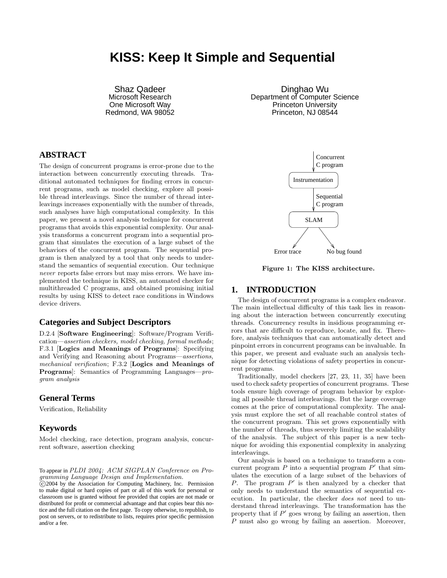# **KISS: Keep It Simple and Sequential**

Shaz Qadeer Microsoft Research One Microsoft Way Redmond, WA 98052

# **ABSTRACT**

The design of concurrent programs is error-prone due to the interaction between concurrently executing threads. Traditional automated techniques for finding errors in concurrent programs, such as model checking, explore all possible thread interleavings. Since the number of thread interleavings increases exponentially with the number of threads, such analyses have high computational complexity. In this paper, we present a novel analysis technique for concurrent programs that avoids this exponential complexity. Our analysis transforms a concurrent program into a sequential program that simulates the execution of a large subset of the behaviors of the concurrent program. The sequential program is then analyzed by a tool that only needs to understand the semantics of sequential execution. Our technique never reports false errors but may miss errors. We have implemented the technique in KISS, an automated checker for multithreaded C programs, and obtained promising initial results by using KISS to detect race conditions in Windows device drivers.

### **Categories and Subject Descriptors**

D.2.4 [Software Engineering]: Software/Program Verification—assertion checkers, model checking, formal methods; F.3.1 [Logics and Meanings of Programs]: Specifying and Verifying and Reasoning about Programs—assertions, mechanical verification; F.3.2 [Logics and Meanings of Programs]: Semantics of Programming Languages—program analysis

### **General Terms**

Verification, Reliability

### **Keywords**

Model checking, race detection, program analysis, concurrent software, assertion checking

To appear in PLDI 2004: ACM SIGPLAN Conference on Programming Language Design and Implementation.

 c 2004 by the Association for Computing Machinery, Inc. Permission to make digital or hard copies of part or all of this work for personal or classroom use is granted without fee provided that copies are not made or distributed for profit or commercial advantage and that copies bear this notice and the full citation on the first page. To copy otherwise, to republish, to post on servers, or to redistribute to lists, requires prior specific permission and/or a fee.

Dinghao Wu Department of Computer Science Princeton University Princeton, NJ 08544



Figure 1: The KISS architecture.

#### **1. INTRODUCTION**

The design of concurrent programs is a complex endeavor. The main intellectual difficulty of this task lies in reasoning about the interaction between concurrently executing threads. Concurrency results in insidious programming errors that are difficult to reproduce, locate, and fix. Therefore, analysis techniques that can automatically detect and pinpoint errors in concurrent programs can be invaluable. In this paper, we present and evaluate such an analysis technique for detecting violations of safety properties in concurrent programs.

Traditionally, model checkers [27, 23, 11, 35] have been used to check safety properties of concurrent programs. These tools ensure high coverage of program behavior by exploring all possible thread interleavings. But the large coverage comes at the price of computational complexity. The analysis must explore the set of all reachable control states of the concurrent program. This set grows exponentially with the number of threads, thus severely limiting the scalability of the analysis. The subject of this paper is a new technique for avoiding this exponential complexity in analyzing interleavings.

Our analysis is based on a technique to transform a concurrent program  $P$  into a sequential program  $P'$  that simulates the execution of a large subset of the behaviors of P. The program  $P'$  is then analyzed by a checker that only needs to understand the semantics of sequential execution. In particular, the checker does not need to understand thread interleavings. The transformation has the property that if  $P'$  goes wrong by failing an assertion, then P must also go wrong by failing an assertion. Moreover,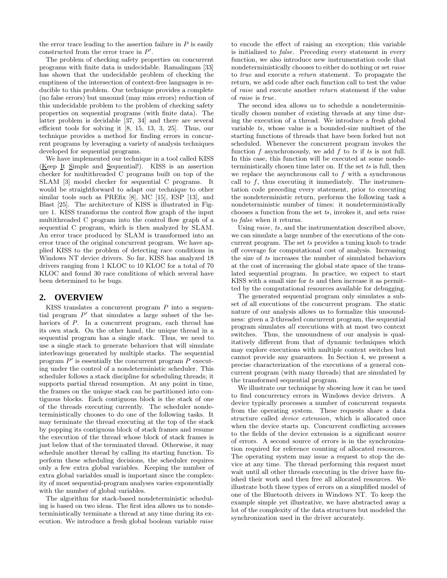the error trace leading to the assertion failure in  $P$  is easily constructed from the error trace in  $P'$ .

The problem of checking safety properties on concurrent programs with finite data is undecidable. Ramalingam [33] has shown that the undecidable problem of checking the emptiness of the intersection of context-free languages is reducible to this problem. Our technique provides a complete (no false errors) but unsound (may miss errors) reduction of this undecidable problem to the problem of checking safety properties on sequential programs (with finite data). The latter problem is decidable [37, 34] and there are several efficient tools for solving it [8, 15, 13, 3, 25]. Thus, our technique provides a method for finding errors in concurrent programs by leveraging a variety of analysis techniques developed for sequential programs.

We have implemented our technique in a tool called KISS (Keep It Simple and Sequential!). KISS is an assertion checker for multithreaded C programs built on top of the SLAM [3] model checker for sequential C programs. It would be straightforward to adapt our technique to other similar tools such as PREfix [8], MC [15], ESP [13], and Blast [25]. The architecture of KISS is illustrated in Figure 1. KISS transforms the control flow graph of the input multithreaded C program into the control flow graph of a sequential C program, which is then analyzed by SLAM. An error trace produced by SLAM is transformed into an error trace of the original concurrent program. We have applied KISS to the problem of detecting race conditions in Windows NT device drivers. So far, KISS has analyzed 18 drivers ranging from 1 KLOC to 10 KLOC for a total of 70 KLOC and found 30 race conditions of which several have been determined to be bugs.

### **2. OVERVIEW**

KISS translates a concurrent program  $P$  into a sequential program  $P'$  that simulates a large subset of the behaviors of P. In a concurrent program, each thread has its own stack. On the other hand, the unique thread in a sequential program has a single stack. Thus, we need to use a single stack to generate behaviors that will simulate interleavings generated by multiple stacks. The sequential program  $P'$  is essentially the concurrent program  $P$  executing under the control of a nondeterministic scheduler. This scheduler follows a stack discipline for scheduling threads; it supports partial thread resumption. At any point in time, the frames on the unique stack can be partitioned into contiguous blocks. Each contiguous block is the stack of one of the threads executing currently. The scheduler nondeterministically chooses to do one of the following tasks. It may terminate the thread executing at the top of the stack by popping its contiguous block of stack frames and resume the execution of the thread whose block of stack frames is just below that of the terminated thread. Otherwise, it may schedule another thread by calling its starting function. To perform these scheduling decisions, the scheduler requires only a few extra global variables. Keeping the number of extra global variables small is important since the complexity of most sequential-program analyses varies exponentially with the number of global variables.

The algorithm for stack-based nondeterministic scheduling is based on two ideas. The first idea allows us to nondeterministically terminate a thread at any time during its execution. We introduce a fresh global boolean variable raise to encode the effect of raising an exception; this variable is initialized to false. Preceding every statement in every function, we also introduce new instrumentation code that nondeterministically chooses to either do nothing or set raise to true and execute a return statement. To propagate the return, we add code after each function call to test the value of raise and execute another return statement if the value of raise is true.

The second idea allows us to schedule a nondeterministically chosen number of existing threads at any time during the execution of a thread. We introduce a fresh global variable ts, whose value is a bounded-size multiset of the starting functions of threads that have been forked but not scheduled. Whenever the concurrent program invokes the function  $f$  asynchronously, we add  $f$  to  $ts$  if  $ts$  is not full. In this case, this function will be executed at some nondeterministically chosen time later on. If the set ts is full, then we replace the asynchronous call to  $f$  with a synchronous call to  $f$ , thus executing it immediately. The instrumentation code preceding every statement, prior to executing the nondeterministic return, performs the following task a nondeterministic number of times: it nondeterministically chooses a function from the set ts, invokes it, and sets raise to false when it returns.

Using raise, ts, and the instrumentation described above, we can simulate a large number of the executions of the concurrent program. The set ts provides a tuning knob to trade off coverage for computational cost of analysis. Increasing the size of ts increases the number of simulated behaviors at the cost of increasing the global state space of the translated sequential program. In practice, we expect to start KISS with a small size for ts and then increase it as permitted by the computational resources available for debugging.

The generated sequential program only simulates a subset of all executions of the concurrent program. The static nature of our analysis allows us to formalize this unsoundness: given a 2-threaded concurrent program, the sequential program simulates all executions with at most two context switches. Thus, the unsoundness of our analysis is qualitatively different from that of dynamic techniques which may explore executions with multiple context switches but cannot provide any guarantees. In Section 4, we present a precise characterization of the executions of a general concurrent program (with many threads) that are simulated by the transformed sequential program.

We illustrate our technique by showing how it can be used to find concurrency errors in Windows device drivers. A device typically processes a number of concurrent requests from the operating system. These requests share a data structure called device extension, which is allocated once when the device starts up. Concurrent conflicting accesses to the fields of the device extension is a significant source of errors. A second source of errors is in the synchronization required for reference counting of allocated resources. The operating system may issue a request to stop the device at any time. The thread performing this request must wait until all other threads executing in the driver have finished their work and then free all allocated resources. We illustrate both these types of errors on a simplified model of one of the Bluetooth drivers in Windows NT. To keep the example simple yet illustrative, we have abstracted away a lot of the complexity of the data structures but modeled the synchronization used in the driver accurately.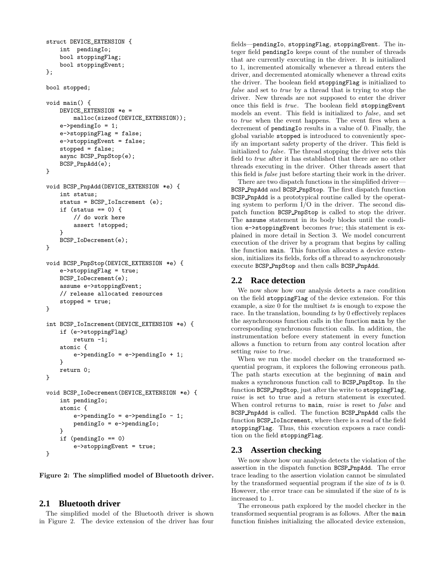```
struct DEVICE_EXTENSION {
    int pendingIo;
    bool stoppingFlag;
    bool stoppingEvent;
};
bool stopped;
void main() {
    DEVICE_EXTENSION *e =
        malloc(sizeof(DEVICE_EXTENSION));
    e->pendingIo = 1;
    e->stoppingFlag = false;
    e->stoppingEvent = false;
    stopped = false;
    async BCSP_PnpStop(e);
    BCSP_PnpAdd(e);
}
void BCSP_PnpAdd(DEVICE_EXTENSION *e) {
    int status;
    status = BCSP_IoIncrement (e);
    if (status == 0) {
        // do work here
        assert !stopped;
    }
    BCSP_IoDecrement(e);
}
void BCSP_PnpStop(DEVICE_EXTENSION *e) {
    e->stoppingFlag = true;
    BCSP_IoDecrement(e);
    assume e->stoppingEvent;
    // release allocated resources
    stopped = true;
}
int BCSP_IoIncrement(DEVICE_EXTENSION *e) {
    if (e->stoppingFlag)
        return -1;
    atomic {
        e->pendingIo = e->pendingIo + 1;
    }
    return 0;
}
void BCSP_IoDecrement(DEVICE_EXTENSION *e) {
    int pendingIo;
    atomic {
        e->pendingIo = e->pendingIo - 1;
        pendingIo = e->pendingIo;
    }
    if (pendingIo == 0)
        e->stoppingEvent = true;
}
```
Figure 2: The simplified model of Bluetooth driver.

### **2.1 Bluetooth driver**

The simplified model of the Bluetooth driver is shown in Figure 2. The device extension of the driver has four

fields—pendingIo, stoppingFlag, stoppingEvent. The integer field pendingIo keeps count of the number of threads that are currently executing in the driver. It is initialized to 1, incremented atomically whenever a thread enters the driver, and decremented atomically whenever a thread exits the driver. The boolean field stoppingFlag is initialized to false and set to *true* by a thread that is trying to stop the driver. New threads are not supposed to enter the driver once this field is true. The boolean field stoppingEvent models an event. This field is initialized to false, and set to true when the event happens. The event fires when a decrement of pendingIo results in a value of 0. Finally, the global variable stopped is introduced to conveniently specify an important safety property of the driver. This field is initialized to false. The thread stopping the driver sets this field to true after it has established that there are no other threads executing in the driver. Other threads assert that this field is false just before starting their work in the driver.

There are two dispatch functions in the simplified driver— BCSP PnpAdd and BCSP PnpStop. The first dispatch function BCSP PnpAdd is a prototypical routine called by the operating system to perform I/O in the driver. The second dispatch function BCSP PnpStop is called to stop the driver. The assume statement in its body blocks until the condition e->stoppingEvent becomes true; this statement is explained in more detail in Section 3. We model concurrent execution of the driver by a program that begins by calling the function main. This function allocates a device extension, initializes its fields, forks off a thread to asynchronously execute BCSP PnpStop and then calls BCSP PnpAdd.

### **2.2 Race detection**

We now show how our analysis detects a race condition on the field stoppingFlag of the device extension. For this example, a size 0 for the multiset ts is enough to expose the race. In the translation, bounding ts by 0 effectively replaces the asynchronous function calls in the function main by the corresponding synchronous function calls. In addition, the instrumentation before every statement in every function allows a function to return from any control location after setting raise to true.

When we run the model checker on the transformed sequential program, it explores the following erroneous path. The path starts execution at the beginning of main and makes a synchronous function call to BCSP PnpStop. In the function BCSP PnpStop, just after the write to stoppingFlag, raise is set to true and a return statement is executed. When control returns to main, *raise* is reset to *false* and BCSP PnpAdd is called. The function BCSP PnpAdd calls the function BCSP IoIncrement, where there is a read of the field stoppingFlag. Thus, this execution exposes a race condition on the field stoppingFlag.

### **2.3 Assertion checking**

We now show how our analysis detects the violation of the assertion in the dispatch function BCSP PnpAdd. The error trace leading to the assertion violation cannot be simulated by the transformed sequential program if the size of ts is 0. However, the error trace can be simulated if the size of ts is increased to 1.

The erroneous path explored by the model checker in the transformed sequential program is as follows. After the main function finishes initializing the allocated device extension,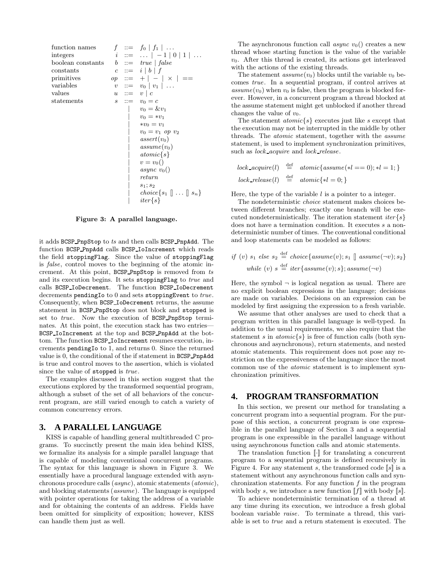function names 
$$
f ::= f_0 | f_1 | \ldots
$$
  
\nintegers  $i ::= \ldots | -1 | 0 | 1 | \ldots$   
\nboolean constants  $b ::= true | false$   
\nconstants  $c ::= i | b | f$   
\nprimitives  $op ::= + | - | \times | ==$   
\nvariables  $v ::= v_0 | v_1 | \ldots$   
\nvalues  $u ::= v | c$   
\nstatements  $s ::= v_0 = c$   
\n $| v_0 = kv_1 |$   
\n $v_0 = v_1 v_0 v_2$   
\n $| v_0 = v_1 o p v_2 |$   
\nassert $(v_0)$   
\n $| v_0 = v_1 o p v_2 |$   
\nassert $(v_0)$   
\n $| assum(v_0)$   
\n $atomic{s}$   
\n $v = v_0()$   
\n $| v_0 = v_1 o p v_2 |$   
\n $asume(v_0)$   
\n $downc{s}$   
\n $v = v_0()$   
\nreturn  
\n $s_1; s_2$   
\n $choice{s1} | \ldots | s_n$   
\n $iter{s}$ 

#### Figure 3: A parallel language.

it adds BCSP PnpStop to ts and then calls BCSP PnpAdd. The function BCSP PnpAdd calls BCSP IoIncrement which reads the field stoppingFlag. Since the value of stoppingFlag is false, control moves to the beginning of the atomic increment. At this point, BCSP PnpStop is removed from ts and its execution begins. It sets stoppingFlag to true and calls BCSP IoDecrement. The function BCSP IoDecrement decrements pendingIo to 0 and sets stoppingEvent to true. Consequently, when BCSP\_IoDecrement returns, the assume statement in BCSP PnpStop does not block and stopped is set to true. Now the execution of BCSP PnpStop terminates. At this point, the execution stack has two entries— BCSP IoIncrement at the top and BCSP PnpAdd at the bottom. The function BCSP IoIncrement resumes execution, increments pendingIo to 1, and returns 0. Since the returned value is 0, the conditional of the if statement in BCSP PnpAdd is true and control moves to the assertion, which is violated since the value of stopped is *true*.

The examples discussed in this section suggest that the executions explored by the transformed sequential program, although a subset of the set of all behaviors of the concurrent program, are still varied enough to catch a variety of common concurrency errors.

# **3. A PARALLEL LANGUAGE**

KISS is capable of handling general multithreaded C programs. To succinctly present the main idea behind KISS, we formalize its analysis for a simple parallel language that is capable of modeling conventional concurrent programs. The syntax for this language is shown in Figure 3. We essentially have a procedural language extended with asynchronous procedure calls (async), atomic statements (atomic), and blocking statements (assume). The language is equipped with pointer operations for taking the address of a variable and for obtaining the contents of an address. Fields have been omitted for simplicity of exposition; however, KISS can handle them just as well.

The asynchronous function call *async*  $v_0$  () creates a new thread whose starting function is the value of the variable  $v_0$ . After this thread is created, its actions get interleaved with the actions of the existing threads.

The statement  $assume(v_0)$  blocks until the variable  $v_0$  becomes true. In a sequential program, if control arrives at assume( $v_0$ ) when  $v_0$  is false, then the program is blocked forever. However, in a concurrent program a thread blocked at the assume statement might get unblocked if another thread changes the value of  $v_0$ .

The statement  $atomic\{s\}$  executes just like s except that the execution may not be interrupted in the middle by other threads. The atomic statement, together with the assume statement, is used to implement synchronization primitives, such as *lock\_acquire* and *lock\_release*.

$$
lock\_acquire(l) \stackrel{\text{def}}{=} atomic{assume(*l == 0); *l = 1; }
$$
  

$$
lock\_release(l) \stackrel{\text{def}}{=} atomic{*l = 0; }
$$

Here, the type of the variable  $l$  is a pointer to a integer.

The nondeterministic choice statement makes choices between different branches; exactly one branch will be executed nondeterministically. The iteration statement  $iter\{s\}$ does not have a termination condition. It executes s a nondeterministic number of times. The conventional conditional and loop statements can be modeled as follows:

if (v) 
$$
s_1
$$
 else  $s_2 \stackrel{\text{def}}{=} choice{assume(v); s_1 \text{ } |} assume(\neg v); s_2}$   
while (v)  $s \stackrel{\text{def}}{=} iter{assume(v); s}$ ;  $assume(\neg v)$ 

Here, the symbol  $\neg$  is logical negation as usual. There are no explicit boolean expressions in the language; decisions are made on variables. Decisions on an expression can be modeled by first assigning the expression to a fresh variable.

We assume that other analyses are used to check that a program written in this parallel language is well-typed. In addition to the usual requirements, we also require that the statement s in  $atomic\{s\}$  is free of function calls (both synchronous and asynchronous), return statements, and nested atomic statements. This requirement does not pose any restriction on the expressiveness of the language since the most common use of the atomic statement is to implement synchronization primitives.

### **4. PROGRAM TRANSFORMATION**

In this section, we present our method for translating a concurrent program into a sequential program. For the purpose of this section, a concurrent program is one expressible in the parallel language of Section 3 and a sequential program is one expressible in the parallel language without using asynchronous function calls and atomic statements.

The translation function  $\lbrack \cdot \rbrack$  for translating a concurrent program to a sequential program is defined recursively in Figure 4. For any statement s, the transformed code  $[s]$  is a statement without any asynchronous function calls and synchronization statements. For any function  $f$  in the program with body s, we introduce a new function  $\llbracket f \rrbracket$  with body  $\llbracket s \rrbracket$ .

To achieve nondeterministic termination of a thread at any time during its execution, we introduce a fresh global boolean variable raise. To terminate a thread, this variable is set to true and a return statement is executed. The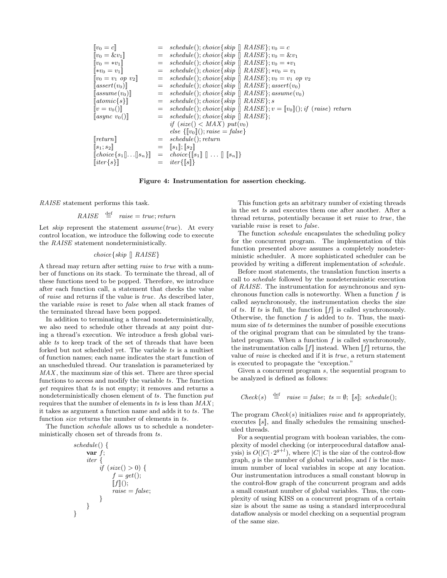$$
\begin{array}{llll}\n[v_0 = c] & = & schedule(); choice\{\text{skip} \parallel \text{RAISE}\}; v_0 = c \\
[v_0 = \& v_1] & = & schedule(); choice\{\text{skip} \parallel \text{RAISE}\}; v_0 = \& v_1 \\
[v_0 = \ast v_1] & = & schedule(); choice\{\text{skip} \parallel \text{RAISE}\}; v_0 = \ast v_1 \\
[\ast v_0 = v_1] & = & schedule(); choice\{\text{skip} \parallel \text{RAISE}\}; v_0 = v_1 \\
[v_0 = v_1 \text{ op } v_2] & = & schedule(); choice\{\text{skip} \parallel \text{RAISE}\}; v_0 = v_1 \text{ op } v_2 \\
[\text{assert}(v_0)] & = & schedule(); choice\{\text{skip} \parallel \text{RAISE}\}; \text{assert}(v_0) \\
[\text{assume}(v_0)] & = & schedule(); choice\{\text{skip} \parallel \text{RAISE}\}; \text{assume}(v_0) \\
[\text{atomic}\{\text{s}\}] & = & schedule(); choice\{\text{skip} \parallel \text{RAISE}\}; \text{assume}(v_0) \\
[\text{atomic}\{\text{s}\}] & = & schedule(); choice\{\text{skip} \parallel \text{RAISE}\}; v = [v_0](); if \text{ (raise) return} \\
[\text{assume } v_0()] & = & schedule(); choice\{\text{skip} \parallel \text{RAISE}\}; v = [v_0](); if \text{ (raise) return} \\
[\text{async } v_0()] & = & schedule(); choice\{\text{skip} \parallel \text{RAISE}\}; v = [v_0](); if \text{ (raise) return} \\
[\text{size}( > \text{MAX}) \text{ put}(v_0) & \text{else } \{\text{[v_0]}(:, \text{raise} = \text{false}\} \\
[\text{choice}\{\text{s1}\}\,, \text{else}]\n[\text{choice}\{\text{s1}\}\,, \text{else}]\n[\text{choice}\{\text{s1}\}\,, \text{else}]\n[\text{choice}\{\text{s2}\}\,, \text{else}]\n[\text{time}\{\text{s3}\}\,, \text{else}]\n[\text{choice}\{\text{s3}\}\,, \text{else}]\n[\text{time}\,\text{true}\} & \text{state}\,\text{true}\} & \text{state}\,\text{true}\} & \text{state}\,\text{true}\} & \text{state
$$

Figure 4: Instrumentation for assertion checking.

RAISE statement performs this task.

$$
RAISE \equiv \text{raise} = \text{true}; \text{return}
$$

Let  $skip$  represent the statement  $assume(true)$ . At every control location, we introduce the following code to execute the RAISE statement nondeterministically.

$$
choice\{skip}[\mathit{skip}]{10pt}]\n[RAISE\}
$$

A thread may return after setting raise to true with a number of functions on its stack. To terminate the thread, all of these functions need to be popped. Therefore, we introduce after each function call, a statement that checks the value of raise and returns if the value is true. As described later, the variable raise is reset to false when all stack frames of the terminated thread have been popped.

In addition to terminating a thread nondeterministically, we also need to schedule other threads at any point during a thread's execution. We introduce a fresh global variable ts to keep track of the set of threads that have been forked but not scheduled yet. The variable ts is a multiset of function names; each name indicates the start function of an unscheduled thread. Our translation is parameterized by  $MAX$ , the maximum size of this set. There are three special functions to access and modify the variable ts. The function get requires that ts is not empty; it removes and returns a nondeterministically chosen element of ts. The function put requires that the number of elements in ts is less than  $MAX$ ; it takes as argument a function name and adds it to ts. The function *size* returns the number of elements in ts.

The function schedule allows us to schedule a nondeterministically chosen set of threads from ts.

\n
$$
\text{scale}(1) \left\{ \text{var } f; \text{ there is } f \text{ is } \text{size}(1) > 0 \right\}
$$
\n

\n\n $\text{iter } \left\{ \text{if } (\text{size}(1) > 0) \right\}$ \n

\n\n $\text{if } f = \text{get}(1); \text{ there is } f \text{ is } \text{size} = \text{false}; \text{ } \text{size} = \text{false};$ \n

\n\n $\left\{ \text{if } f \text{ is } f \text{ is } f \text{ is } \text{size} \right\}$ \n

This function gets an arbitrary number of existing threads in the set ts and executes them one after another. After a thread returns, potentially because it set raise to true, the variable raise is reset to false.

The function *schedule* encapsulates the scheduling policy for the concurrent program. The implementation of this function presented above assumes a completely nondeterministic scheduler. A more sophisticated scheduler can be provided by writing a different implementation of schedule.

Before most statements, the translation function inserts a call to schedule followed by the nondeterministic execution of RAISE. The instrumentation for asynchronous and synchronous function calls is noteworthy. When a function  $f$  is called asynchronously, the instrumentation checks the size of ts. If ts is full, the function  $\llbracket f \rrbracket$  is called synchronously. Otherwise, the function  $f$  is added to  $ts$ . Thus, the maximum size of ts determines the number of possible executions of the original program that can be simulated by the translated program. When a function  $f$  is called synchronously, the instrumentation calls  $\llbracket f \rrbracket$  instead. When  $\llbracket f \rrbracket$  returns, the value of raise is checked and if it is true, a return statement is executed to propagate the "exception."

Given a concurrent program s, the sequential program to be analyzed is defined as follows:

Check(s) 
$$
\stackrel{\text{def}}{=} \text{raise} = \text{false}; \text{ts} = \emptyset; \llbracket s \rrbracket; \text{ schedule}();
$$

The program  $Check(s)$  initializes *raise* and ts appropriately, executes  $[s]$ , and finally schedules the remaining unscheduled threads.

For a sequential program with boolean variables, the complexity of model checking (or interprocedural dataflow analysis) is  $O(|C| \cdot 2^{g+l})$ , where |C| is the size of the control-flow graph,  $q$  is the number of global variables, and  $l$  is the maximum number of local variables in scope at any location. Our instrumentation introduces a small constant blowup in the control-flow graph of the concurrent program and adds a small constant number of global variables. Thus, the complexity of using KISS on a concurrent program of a certain size is about the same as using a standard interprocedural dataflow analysis or model checking on a sequential program of the same size.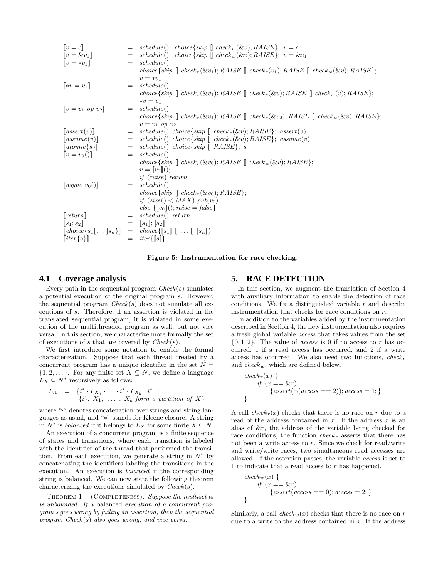| $\llbracket v = c \rrbracket$                              |     | $= \; schedule(); \; choice\{skip \parallel check_w(\&v); RASE\}; \; v = c$                                                                                                                  |
|------------------------------------------------------------|-----|----------------------------------------------------------------------------------------------------------------------------------------------------------------------------------------------|
| $\llbracket v = \& v_1 \rrbracket$                         | $=$ | schedule(); choice{skip $\lbrack \rbrack$ check $_w(\&v);RAISE$ }; $v = \&v_1$                                                                                                               |
| $[v = *v_1]$                                               | $=$ | schedule(                                                                                                                                                                                    |
|                                                            |     | choice {skip $\lbrack \rbrack$ check <sub>r</sub> (&v <sub>1</sub> ); RAISE $\lbrack \rbrack$ check <sub>r</sub> (v <sub>1</sub> ); RAISE $\lbrack \rbrack$ check <sub>w</sub> (&v); RAISE}; |
|                                                            |     | $v = *v_1$                                                                                                                                                                                   |
| $\llbracket *v = v_1 \rrbracket$                           |     | $= \; schedule();$                                                                                                                                                                           |
|                                                            |     | choice {skip $\lbrack \rbrack$ check <sub>r</sub> (&v <sub>1</sub> ); RAISE $\lbrack \rbrack$ check <sub>r</sub> (&v); RAISE $\lbrack \rbrack$ check <sub>w</sub> (v); RAISE};               |
|                                                            |     | $* v = v_1$                                                                                                                                                                                  |
| $[v = v_1 \text{ op } v_2]$                                |     | $= \; schedule();$                                                                                                                                                                           |
|                                                            |     | choice {skip    check <sub>r</sub> (&v <sub>1</sub> ); RAISE    check <sub>r</sub> (&v <sub>2</sub> ); RAISE    check <sub>w</sub> (&v); RAISE};                                             |
|                                                            |     | $v = v_1$ op $v_2$                                                                                                                                                                           |
| $\llbracket assert(v)\rrbracket$                           |     |                                                                                                                                                                                              |
| [assume(v)]                                                | $=$ |                                                                                                                                                                                              |
| $\llbracket atomic\{s\}\rrbracket$                         |     | $= \; schedule(); choice\{skip \} \; R AISE\}; s$                                                                                                                                            |
| $v = v_0()$                                                | $=$ | schedule(                                                                                                                                                                                    |
|                                                            |     | choice{skip $\lbrack \rbrack$ check <sub>r</sub> (&v <sub>0</sub> ); RAISE $\lbrack \rbrack$ check <sub>w</sub> (&v); RAISE};                                                                |
|                                                            |     | $v = [v_0](\cdot);$                                                                                                                                                                          |
|                                                            |     | <i>if</i> $(nise) return$                                                                                                                                                                    |
| $\llbracket \textit{async } v_0() \rrbracket$              |     | $= \; schedule();$                                                                                                                                                                           |
|                                                            |     | $choice{split}$ $[;$ $check_r(\&v_0);$ $RAISE$ };                                                                                                                                            |
|                                                            |     | if $(size() < MAX) put(v0)$                                                                                                                                                                  |
|                                                            |     | else $\{\llbracket v_0 \rrbracket(\cdot) ; \text{raise} = \text{false}\}\$                                                                                                                   |
| $\llbracket return \rrbracket$                             |     | $= \; schedule(); return$                                                                                                                                                                    |
| $=$ [s <sub>1</sub> ]; [s <sub>2</sub> ]<br>$  s_1; s_2  $ |     |                                                                                                                                                                                              |
|                                                            |     | $[\text{choice}\{s_1\} \ldots \; ]\,s_n\}]\quad =\quad choice\{[\![s_1]\!] \; [\!\!]\ldots\; [\!\!]\; [\![s_n]\!]\,\}$                                                                       |
| $[iter\{s\}]$                                              |     | $= iter \{ \llbracket s \rrbracket \}$                                                                                                                                                       |
|                                                            |     |                                                                                                                                                                                              |

Figure 5: Instrumentation for race checking.

#### **4.1 Coverage analysis**

Every path in the sequential program  $Check(s)$  simulates a potential execution of the original program s. However, the sequential program  $Check(s)$  does not simulate all executions of s. Therefore, if an assertion is violated in the translated sequential program, it is violated in some execution of the multithreaded program as well, but not vice versa. In this section, we characterize more formally the set of executions of s that are covered by  $Check(s)$ .

We first introduce some notation to enable the formal characterization. Suppose that each thread created by a concurrent program has a unique identifier in the set  $N =$  $\{1, 2, \ldots\}$ . For any finite set  $\overline{X} \subseteq N$ , we define a language  $L_X \subseteq N^*$  recursively as follows:

$$
L_X = \{i^* \cdot L_{X_1} \cdot \ldots \cdot i^* \cdot L_{X_k} \cdot i^* \mid
$$
  

$$
\{i\}, X_1, \ldots, X_k \text{ form a partition of } X\}
$$

where "." denotes concatenation over strings and string languages as usual, and "∗" stands for Kleene closure. A string in  $N^*$  is *balanced* if it belongs to  $L_X$  for some finite  $X \subseteq N$ .

An execution of a concurrent program is a finite sequence of states and transitions, where each transition is labeled with the identifier of the thread that performed the transition. From each execution, we generate a string in  $N^*$  by concatenating the identifiers labeling the transitions in the execution. An execution is balanced if the corresponding string is balanced. We can now state the following theorem characterizing the executions simulated by  $Check(s)$ .

THEOREM 1 (COMPLETENESS). Suppose the multiset ts is unbounded. If a balanced execution of a concurrent program s goes wrong by failing an assertion, then the sequential program  $Check(s)$  also goes wrong, and vice versa.

### **5. RACE DETECTION**

In this section, we augment the translation of Section 4 with auxiliary information to enable the detection of race conditions. We fix a distinguished variable  $r$  and describe instrumentation that checks for race conditions on r.

In addition to the variables added by the instrumentation described in Section 4, the new instrumentation also requires a fresh global variable access that takes values from the set  $\{0, 1, 2\}$ . The value of *access* is 0 if no access to r has occurred, 1 if a read access has occurred, and 2 if a write access has occurred. We also need two functions,  $check_r$ and  $check_w$ , which are defined below.

$$
checkr(x) \{\nif (x == \& r)\n{assert(\neg(access == 2)); access = 1;}
$$
\n}

A call  $check_r(x)$  checks that there is no race on r due to a read of the address contained in x. If the address  $x$  is an alias of &r, the address of the variable being checked for race conditions, the function  $check<sub>r</sub>$  asserts that there has not been a write access to r. Since we check for read/write and write/write races, two simultaneous read accesses are allowed. If the assertion passes, the variable access is set to 1 to indicate that a read access to  $r$  has happened.

$$
check_w(x) \{ if (x == \& r) {assert(access == 0); access = 2; }
$$

Similarly, a call  $check_w(x)$  checks that there is no race on r due to a write to the address contained in  $x$ . If the address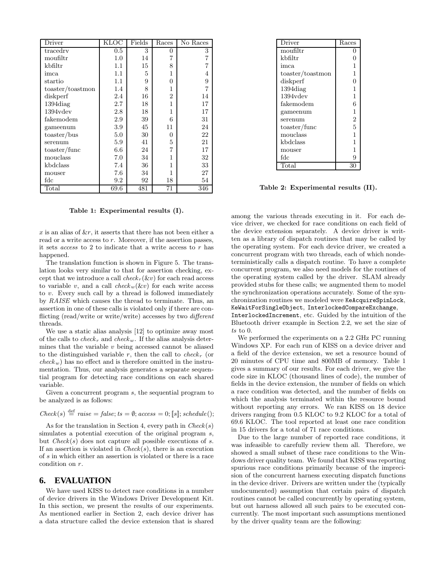| <b>Driver</b>    | KLOC    | Fields | Races          | No Races |
|------------------|---------|--------|----------------|----------|
| tracedry         | 0.5     | 3      | 0              | 3        |
| moufiltr         | 1.0     | 14     | 7              | 7        |
| kbfiltr          | $1.1\,$ | 15     | 8              | 7        |
| imca             | 1.1     | 5      | 1              | 4        |
| startio          | 1.1     | 9      | 0              | 9        |
| toaster/toastmon | 1.4     | 8      | 1              | 7        |
| diskperf         | 2.4     | 16     | $\overline{2}$ | 14       |
| 1394diag         | 2.7     | 18     | 1              | 17       |
| $1394$ vdev      | 2.8     | 18     | 1              | 17       |
| fakemodem        | 2.9     | 39     | 6              | 31       |
| gameenum         | 3.9     | 45     | 11             | 24       |
| toaster/bus      | 5.0     | 30     | 0              | 22       |
| serenum          | 5.9     | 41     | 5              | 21       |
| toaster/func     | 6.6     | 24     | 7              | 17       |
| mouclass         | 7.0     | 34     | 1              | 32       |
| kbdclass         | 7.4     | 36     | 1              | 33       |
| mouser           | 7.6     | 34     | 1              | 27       |
| fdc              | $9.2\,$ | 92     | 18             | 54       |
| Total            | 69.6    | 481    | 71             | 346      |

Table 1: Experimental results (I).

 $x$  is an alias of  $\&r$ , it asserts that there has not been either a read or a write access to  $r$ . Moreover, if the assertion passes, it sets *access* to 2 to indicate that a write access to  $r$  has happened.

The translation function is shown in Figure 5. The translation looks very similar to that for assertion checking, except that we introduce a call  $check_r(\&v)$  for each read access to variable v, and a call  $check_w(\&v)$  for each write access to v. Every such call by a thread is followed immediately by RAISE which causes the thread to terminate. Thus, an assertion in one of these calls is violated only if there are conflicting (read/write or write/write) accesses by two different threads.

We use a static alias analysis [12] to optimize away most of the calls to *check<sub>r</sub>* and *check<sub>w</sub>*. If the alias analysis determines that the variable  $v$  being accessed cannot be aliased to the distinguished variable r, then the call to  $check<sub>r</sub>$  (or  $check_w$ ) has no effect and is therefore omitted in the instrumentation. Thus, our analysis generates a separate sequential program for detecting race conditions on each shared variable.

Given a concurrent program s, the sequential program to be analyzed is as follows:

Check(s) 
$$
\stackrel{\text{def}}{=} \text{raise} = \text{false}; \text{ts} = \emptyset; \text{access} = 0; [\![s]\!]; \text{schedule}();
$$

As for the translation in Section 4, every path in  $Check(s)$ simulates a potential execution of the original program s, but  $Check(s)$  does not capture all possible executions of s. If an assertion is violated in  $Check(s)$ , there is an execution of s in which either an assertion is violated or there is a race condition on r.

### **6. EVALUATION**

We have used KISS to detect race conditions in a number of device drivers in the Windows Driver Development Kit. In this section, we present the results of our experiments. As mentioned earlier in Section 2, each device driver has a data structure called the device extension that is shared

| Driver           | Races          |
|------------------|----------------|
| $\text{moufilt}$ | 0              |
| kbfiltr          | 0              |
| imca             | 1              |
| toaster/toastmon | 1              |
| diskperf         | 0              |
| 1394diag         | 1              |
| $1394$ vdev      | 1              |
| fakemodem        | 6              |
| gameenum         | 1              |
| serenum          | $\overline{2}$ |
| toaster/func     | 5              |
| mouclass         | 1              |
| kbdclass         | 1              |
| mouser           | 1              |
| fdc              | 9              |
| Total            |                |

Table 2: Experimental results (II).

among the various threads executing in it. For each device driver, we checked for race conditions on each field of the device extension separately. A device driver is written as a library of dispatch routines that may be called by the operating system. For each device driver, we created a concurrent program with two threads, each of which nondeterministically calls a dispatch routine. To have a complete concurrent program, we also need models for the routines of the operating system called by the driver. SLAM already provided stubs for these calls; we augmented them to model the synchronization operations accurately. Some of the synchronization routines we modeled were KeAcquireSpinLock, KeWaitForSingleObject, InterlockedCompareExchange,

InterlockedIncrement, etc. Guided by the intuition of the Bluetooth driver example in Section 2.2, we set the size of ts to 0.

We performed the experiments on a 2.2 GHz PC running Windows XP. For each run of KISS on a device driver and a field of the device extension, we set a resource bound of 20 minutes of CPU time and 800MB of memory. Table 1 gives a summary of our results. For each driver, we give the code size in KLOC (thousand lines of code), the number of fields in the device extension, the number of fields on which a race condition was detected, and the number of fields on which the analysis terminated within the resource bound without reporting any errors. We ran KISS on 18 device drivers ranging from 0.5 KLOC to 9.2 KLOC for a total of 69.6 KLOC. The tool reported at least one race condition in 15 drivers for a total of 71 race conditions.

Due to the large number of reported race conditions, it was infeasible to carefully review them all. Therefore, we showed a small subset of these race conditions to the Windows driver quality team. We found that KISS was reporting spurious race conditions primarily because of the imprecision of the concurrent harness executing dispatch functions in the device driver. Drivers are written under the (typically undocumented) assumption that certain pairs of dispatch routines cannot be called concurrently by operating system, but out harness allowed all such pairs to be executed concurrently. The most important such assumptions mentioned by the driver quality team are the following: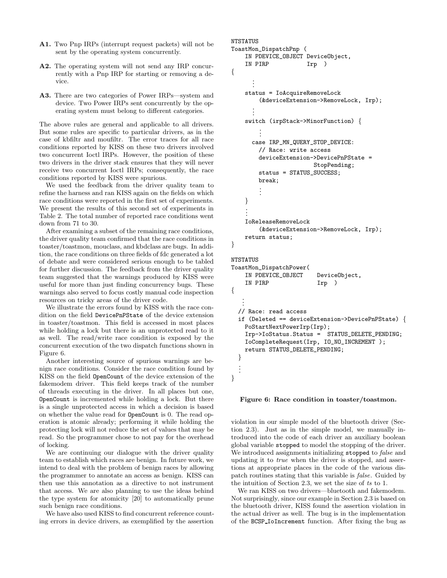- A1. Two Pnp IRPs (interrupt request packets) will not be sent by the operating system concurrently.
- A2. The operating system will not send any IRP concurrently with a Pnp IRP for starting or removing a device.
- A3. There are two categories of Power IRPs—system and device. Two Power IRPs sent concurrently by the operating system must belong to different categories.

The above rules are general and applicable to all drivers. But some rules are specific to particular drivers, as in the case of kbfiltr and moufiltr. The error traces for all race conditions reported by KISS on these two drivers involved two concurrent Ioctl IRPs. However, the position of these two drivers in the driver stack ensures that they will never receive two concurrent Ioctl IRPs; consequently, the race conditions reported by KISS were spurious.

We used the feedback from the driver quality team to refine the harness and ran KISS again on the fields on which race conditions were reported in the first set of experiments. We present the results of this second set of experiments in Table 2. The total number of reported race conditions went down from 71 to 30.

After examining a subset of the remaining race conditions, the driver quality team confirmed that the race conditions in toaster/toastmon, mouclass, and kbdclass are bugs. In addition, the race conditions on three fields of fdc generated a lot of debate and were considered serious enough to be tabled for further discussion. The feedback from the driver quality team suggested that the warnings produced by KISS were useful for more than just finding concurrency bugs. These warnings also served to focus costly manual code inspection resources on tricky areas of the driver code.

We illustrate the errors found by KISS with the race condition on the field DevicePnPState of the device extension in toaster/toastmon. This field is accessed in most places while holding a lock but there is an unprotected read to it as well. The read/write race condition is exposed by the concurrent execution of the two dispatch functions shown in Figure 6.

Another interesting source of spurious warnings are benign race conditions. Consider the race condition found by KISS on the field OpenCount of the device extension of the fakemodem driver. This field keeps track of the number of threads executing in the driver. In all places but one, OpenCount is incremented while holding a lock. But there is a single unprotected access in which a decision is based on whether the value read for OpenCount is 0. The read operation is atomic already; performing it while holding the protecting lock will not reduce the set of values that may be read. So the programmer chose to not pay for the overhead of locking.

We are continuing our dialogue with the driver quality team to establish which races are benign. In future work, we intend to deal with the problem of benign races by allowing the programmer to annotate an access as benign. KISS can then use this annotation as a directive to not instrument that access. We are also planning to use the ideas behind the type system for atomicity [20] to automatically prune such benign race conditions.

We have also used KISS to find concurrent reference counting errors in device drivers, as exemplified by the assertion

```
NTSTATUS
ToastMon_DispatchPnp (
    IN PDEVICE_OBJECT DeviceObject,
    IN PIRP Irp )
{
      .
      .
      .
    status = IoAcquireRemoveLock
        (&deviceExtension->RemoveLock, Irp);
      .
      .
      .
    switch (irpStack->MinorFunction) {
        .
        .
        .
      case IRP_MN_QUERY_STOP_DEVICE:
        // Race: write access
        deviceExtension->DevicePnPState =
                        StopPending;
        status = STATUS_SUCCESS;
        break;
        .
.
.
    }
    .
    .
    .
    IoReleaseRemoveLock
        (&deviceExtension->RemoveLock, Irp);
    return status;
}
NTSTATUS
ToastMon_DispatchPower(
    IN PDEVICE_OBJECT DeviceObject,
    IN PIRP Irp )
{
   .
   .
   .
  // Race: read access
  if (Deleted == deviceExtension->DevicePnPState) {
    PoStartNextPowerIrp(Irp);
    Irp->IoStatus.Status = STATUS_DELETE_PENDING;
    IoCompleteRequest(Irp, IO_NO_INCREMENT );
    return STATUS_DELETE_PENDING;
  }
  .
  .
  .
}
```
Figure 6: Race condition in toaster/toastmon.

violation in our simple model of the bluetooth driver (Section 2.3). Just as in the simple model, we manually introduced into the code of each driver an auxiliary boolean global variable stopped to model the stopping of the driver. We introduced assignments initializing stopped to false and updating it to true when the driver is stopped, and assertions at appropriate places in the code of the various dispatch routines stating that this variable is false. Guided by the intuition of Section 2.3, we set the size of ts to 1.

We ran KISS on two drivers—bluetooth and fakemodem. Not surprisingly, since our example in Section 2.3 is based on the bluetooth driver, KISS found the assertion violation in the actual driver as well. The bug is in the implementation of the BCSP IoIncrement function. After fixing the bug as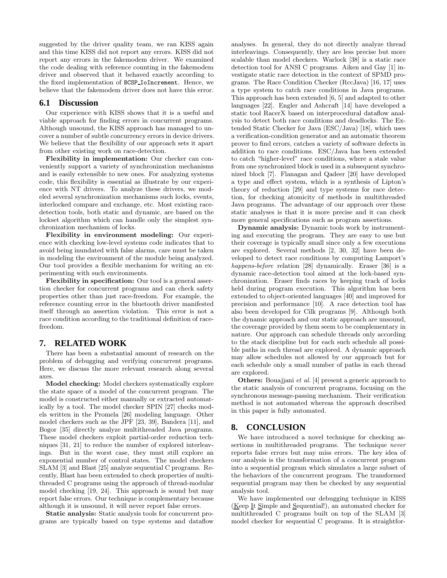suggested by the driver quality team, we ran KISS again and this time KISS did not report any errors. KISS did not report any errors in the fakemodem driver. We examined the code dealing with reference counting in the fakemodem driver and observed that it behaved exactly according to the fixed implementation of BCSP IoIncrement. Hence, we believe that the fakemodem driver does not have this error.

#### **6.1 Discussion**

Our experience with KISS shows that it is a useful and viable approach for finding errors in concurrent programs. Although unsound, the KISS approach has managed to uncover a number of subtle concurrency errors in device drivers. We believe that the flexibility of our approach sets it apart from other existing work on race-detection.

Flexibility in implementation: Our checker can conveniently support a variety of synchronization mechanisms and is easily extensible to new ones. For analyzing systems code, this flexibility is essential as illustrate by our experience with NT drivers. To analyze these drivers, we modeled several synchronization mechanisms such locks, events, interlocked compare and exchange, etc. Most existing racedetection tools, both static and dynamic, are based on the lockset algorithm which can handle only the simplest synchronization mechanism of locks.

Flexibility in environment modeling: Our experience with checking low-level systems code indicates that to avoid being inundated with false alarms, care must be taken in modeling the environment of the module being analyzed. Our tool provides a flexible mechanism for writing an experimenting with such environments.

Flexibility in specification: Our tool is a general assertion checker for concurrent programs and can check safety properties other than just race-freedom. For example, the reference counting error in the bluetooth driver manifested itself through an assertion violation. This error is not a race condition according to the traditional definition of racefreedom.

### **7. RELATED WORK**

There has been a substantial amount of research on the problem of debugging and verifying concurrent programs. Here, we discuss the more relevant research along several axes.

Model checking: Model checkers systematically explore the state space of a model of the concurrent program. The model is constructed either manually or extracted automatically by a tool. The model checker SPIN [27] checks models written in the Promela [26] modeling language. Other model checkers such as the JPF [23, 39], Bandera [11], and Bogor [35] directly analyze multithreaded Java programs. These model checkers exploit partial-order reduction techniques [31, 21] to reduce the number of explored interleavings. But in the worst case, they must still explore an exponential number of control states. The model checkers SLAM [3] and Blast [25] analyze sequential C programs. Recently, Blast has been extended to check properties of multithreaded C programs using the approach of thread-modular model checking [19, 24]. This approach is sound but may report false errors. Our technique is complementary because although it is unsound, it will never report false errors.

Static analysis: Static analysis tools for concurrent programs are typically based on type systems and dataflow analyses. In general, they do not directly analyze thread interleavings. Consequently, they are less precise but more scalable than model checkers. Warlock [38] is a static race detection tool for ANSI C programs. Aiken and Gay [1] investigate static race detection in the context of SPMD programs. The Race Condition Checker (RccJava) [16, 17] uses a type system to catch race conditions in Java programs. This approach has been extended [6, 5] and adapted to other languages [22]. Engler and Ashcraft [14] have developed a static tool RacerX based on interprocedural dataflow analysis to detect both race conditions and deadlocks. The Extended Static Checker for Java (ESC/Java) [18], which uses a verification-condition generator and an automatic theorem prover to find errors, catches a variety of software defects in addition to race conditions. ESC/Java has been extended to catch "higher-level" race conditions, where a stale value from one synchronized block is used in a subsequent synchronized block [7]. Flanagan and Qadeer [20] have developed a type and effect system, which is a synthesis of Lipton's theory of reduction [29] and type systems for race detection, for checking atomicity of methods in multithreaded Java programs. The advantage of our approach over these static analyses is that it is more precise and it can check more general specifications such as program assertions.

Dynamic analysis: Dynamic tools work by instrumenting and executing the program. They are easy to use but their coverage is typically small since only a few executions are explored. Several methods [2, 30, 32] have been developed to detect race conditions by computing Lamport's happens-before relation [28] dynamically. Eraser [36] is a dynamic race-detection tool aimed at the lock-based synchronization. Eraser finds races by keeping track of locks held during program execution. This algorithm has been extended to object-oriented languages [40] and improved for precision and performance [10]. A race detection tool has also been developed for Cilk programs [9]. Although both the dynamic approach and our static approach are unsound, the coverage provided by them seem to be complementary in nature. Our approach can schedule threads only according to the stack discipline but for each such schedule all possible paths in each thread are explored. A dynamic approach may allow schedules not allowed by our approach but for each schedule only a small number of paths in each thread are explored.

Others: Bouajjani et al. [4] present a generic approach to the static analysis of concurrent programs, focusing on the synchronous message-passing mechanism. Their verification method is not automated whereas the approach described in this paper is fully automated.

## **8. CONCLUSION**

We have introduced a novel technique for checking assertions in multithreaded programs. The technique never reports false errors but may miss errors. The key idea of our analysis is the transformation of a concurrent program into a sequential program which simulates a large subset of the behaviors of the concurrent program. The transformed sequential program may then be checked by any sequential analysis tool.

We have implemented our debugging technique in KISS (Keep It Simple and Sequential!), an automated checker for multithreaded C programs built on top of the SLAM [3] model checker for sequential C programs. It is straightfor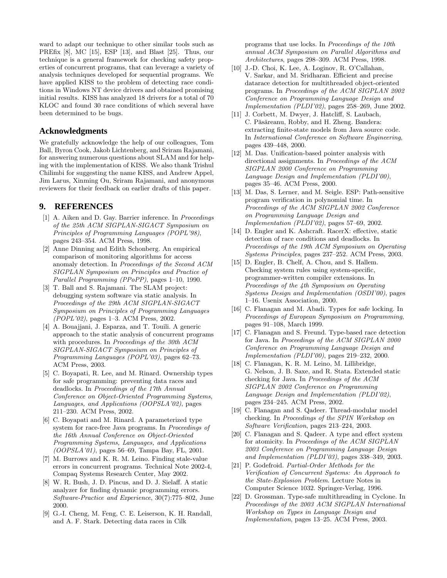ward to adapt our technique to other similar tools such as PREfix [8], MC [15], ESP [13], and Blast [25]. Thus, our technique is a general framework for checking safety properties of concurrent programs, that can leverage a variety of analysis techniques developed for sequential programs. We have applied KISS to the problem of detecting race conditions in Windows NT device drivers and obtained promising initial results. KISS has analyzed 18 drivers for a total of 70 KLOC and found 30 race conditions of which several have been determined to be bugs.

### **Acknowledgments**

We gratefully acknowledge the help of our colleagues, Tom Ball, Byron Cook, Jakob Lichtenberg, and Sriram Rajamani, for answering numerous questions about SLAM and for helping with the implementation of KISS. We also thank Trishul Chilimbi for suggesting the name KISS, and Andrew Appel, Jim Larus, Xinming Ou, Sriram Rajamani, and anonymous reviewers for their feedback on earlier drafts of this paper.

## **9. REFERENCES**

- [1] A. Aiken and D. Gay. Barrier inference. In Proceedings of the 25th ACM SIGPLAN-SIGACT Symposium on Principles of Programming Languages (POPL'98), pages 243–354. ACM Press, 1998.
- [2] Anne Dinning and Edith Schonberg. An empirical comparison of monitoring algorithms for access anomaly detection. In Proceedings of the Second ACM SIGPLAN Symposium on Principles and Practice of Parallel Programming (PPoPP), pages 1–10, 1990.
- [3] T. Ball and S. Rajamani. The SLAM project: debugging system software via static analysis. In Proceedings of the 29th ACM SIGPLAN-SIGACT Symposium on Principles of Programming Languages (POPL'02), pages 1–3. ACM Press, 2002.
- [4] A. Bouajjani, J. Esparza, and T. Touili. A generic approach to the static analysis of concurrent programs with procedures. In Proceedings of the 30th ACM SIGPLAN-SIGACT Symposium on Principles of Programming Languages (POPL'03), pages 62–73. ACM Press, 2003.
- [5] C. Boyapati, R. Lee, and M. Rinard. Ownership types for safe programming: preventing data races and deadlocks. In Proceedings of the 17th Annual Conference on Object-Oriented Programming Systems, Languages, and Applications (OOPSLA'02), pages 211–230. ACM Press, 2002.
- [6] C. Boyapati and M. Rinard. A parameterized type system for race-free Java programs. In Proceedings of the 16th Annual Conference on Object-Oriented Programming Systems, Languages, and Applications (OOPSLA'01), pages 56–69, Tampa Bay, FL, 2001.
- [7] M. Burrows and K. R. M. Leino. Finding stale-value errors in concurrent programs. Technical Note 2002-4, Compaq Systems Research Center, May 2002.
- [8] W. R. Bush, J. D. Pincus, and D. J. Sielaff. A static analyzer for finding dynamic programming errors. Software-Practice and Experience, 30(7):775–802, June 2000.
- [9] G.-I. Cheng, M. Feng, C. E. Leiserson, K. H. Randall, and A. F. Stark. Detecting data races in Cilk

programs that use locks. In Proceedings of the 10th annual ACM Symposium on Parallel Algorithms and Architectures, pages 298–309. ACM Press, 1998.

- [10] J.-D. Choi, K. Lee, A. Loginov, R. O'Callahan, V. Sarkar, and M. Sridharan. Efficient and precise datarace detection for multithreaded object-oriented programs. In Proceedings of the ACM SIGPLAN 2002 Conference on Programming Language Design and Implementation (PLDI'02), pages 258–269, June 2002.
- [11] J. Corbett, M. Dwyer, J. Hatcliff, S. Laubach, C. Păsăreanu, Robby, and H. Zheng. Bandera: extracting finite-state models from Java source code. In International Conference on Software Engineering, pages 439–448, 2000.
- [12] M. Das. Unification-based pointer analysis with directional assignments. In Proceedings of the ACM SIGPLAN 2000 Conference on Programming Language Design and Implementation (PLDI'00), pages 35–46. ACM Press, 2000.
- [13] M. Das, S. Lerner, and M. Seigle. ESP: Path-sensitive program verification in polynomial time. In Proceedings of the ACM SIGPLAN 2002 Conference on Programming Language Design and Implementation (PLDI'02), pages 57–69, 2002.
- [14] D. Engler and K. Ashcraft. RacerX: effective, static detection of race conditions and deadlocks. In Proceedings of the 19th ACM Symposium on Operating Systems Principles, pages 237–252. ACM Press, 2003.
- [15] D. Engler, B. Chelf, A. Chou, and S. Hallem. Checking system rules using system-specific, programmer-written compiler extensions. In Proceedings of the 4th Symposium on Operating Systems Design and Implementation (OSDI'00), pages 1–16. Usenix Association, 2000.
- [16] C. Flanagan and M. Abadi. Types for safe locking. In Proceedings of European Symposium on Programming, pages 91–108, March 1999.
- [17] C. Flanagan and S. Freund. Type-based race detection for Java. In Proceedings of the ACM SIGPLAN 2000 Conference on Programming Language Design and Implementation (PLDI'00), pages 219–232, 2000.
- [18] C. Flanagan, K. R. M. Leino, M. Lillibridge, G. Nelson, J. B. Saxe, and R. Stata. Extended static checking for Java. In Proceedings of the ACM SIGPLAN 2002 Conference on Programming Language Design and Implementation (PLDI'02), pages 234–245. ACM Press, 2002.
- [19] C. Flanagan and S. Qadeer. Thread-modular model checking. In Proceedings of the SPIN Workshop on Software Verification, pages 213–224, 2003.
- [20] C. Flanagan and S. Qadeer. A type and effect system for atomicity. In Proceedings of the ACM SIGPLAN 2003 Conference on Programming Language Design and Implementation (PLDI'03), pages 338–349, 2003.
- [21] P. Godefroid. Partial-Order Methods for the Verification of Concurrent Systems: An Approach to the State-Explosion Problem. Lecture Notes in Computer Science 1032. Springer-Verlag, 1996.
- [22] D. Grossman. Type-safe multithreading in Cyclone. In Proceedings of the 2003 ACM SIGPLAN International Workshop on Types in Language Design and Implementation, pages 13–25. ACM Press, 2003.